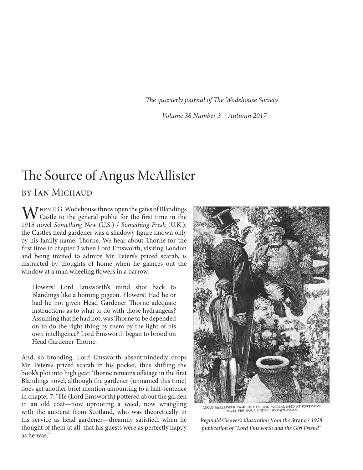*The quarterly journal of The Wodehouse Society*

*Volume 38 Number 3 Autumn 2017*

# The Source of Angus McAllister

### by Ian Michaud

 $\bf M$  HEN P. G. Wodehouse threw open the gates of Blandings Castle to the general public for the first time in the 1915 novel *Something New* (U.S.) / *Something Fresh* (U.K.), the Castle's head gardener was a shadowy figure known only by his family name, Thorne. We hear about Thorne for the first time in chapter 3 when Lord Emsworth, visiting London and being invited to admire Mr. Peters's prized scarab, is distracted by thoughts of home when he glances out the window at a man wheeling flowers in a barrow:

Flowers! Lord Emsworth's mind shot back to Blandings like a homing pigeon. Flowers! Had he or had he not given Head Gardener Thorne adequate instructions as to what to do with those hydrangeas? Assuming that he had not, was Thorne to be depended on to do the right thing by them by the light of his own intelligence? Lord Emsworth began to brood on Head Gardener Thorne.

And, so brooding, Lord Emsworth absentmindedly drops Mr. Peters's prized scarab in his pocket, thus shifting the book's plot into high gear. Thorne remains offstage in the first Blandings novel, although the gardener (unnamed this time) does get another brief mention amounting to a half-sentence in chapter 7: "He (Lord Emsworth) pottered about the garden in an old coat—now uprooting a weed, now wrangling with the autocrat from Scotland, who was theoretically in his service as head gardener—dreamily satisfied, when he thought of them at all, that his guests were as perfectly happy as he was."



GUS MeALLISTER CAME OUT OF THE POTTING-SHED AT FORTY-FIVE NULLISTER CAME OUT OF THE POTTING-SHED AT FORTY-FIVE

*Reginald Cleaver's illustration from the* Strand*'s 1928 publication of "Lord Emsworth and the Girl Friend"*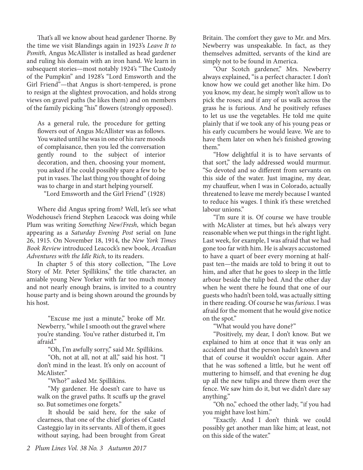That's all we know about head gardener Thorne. By the time we visit Blandings again in 1923's *Leave It to Psmith,* Angus McAllister is installed as head gardener and ruling his domain with an iron hand. We learn in subsequent stories—most notably 1924's "The Custody of the Pumpkin" and 1928's "Lord Emsworth and the Girl Friend"—that Angus is short-tempered, is prone to resign at the slightest provocation, and holds strong views on gravel paths (he likes them) and on members of the family picking "his" flowers (strongly opposed).

As a general rule, the procedure for getting flowers out of Angus McAllister was as follows. You waited until he was in one of his rare moods of complaisance, then you led the conversation gently round to the subject of interior decoration, and then, choosing your moment, you asked if he could possibly spare a few to be put in vases. The last thing you thought of doing was to charge in and start helping yourself.

"Lord Emsworth and the Girl Friend" (1928)

Where did Angus spring from? Well, let's see what Wodehouse's friend Stephen Leacock was doing while Plum was writing *Something New*/*Fresh*, which began appearing as a *Saturday Evening Post* serial on June 26, 1915. On November 18, 1914, the *New York Times Book Review* introduced Leacock's new book, *Arcadian Adventures with the Idle Rich*, to its readers.

In chapter 5 of this story collection, "The Love Story of Mr. Peter Spillikins," the title character, an amiable young New Yorker with far too much money and not nearly enough brains, is invited to a country house party and is being shown around the grounds by his host.

"Excuse me just a minute," broke off Mr. Newberry, "while I smooth out the gravel where you're standing. You've rather disturbed it, I'm afraid."

"Oh, I'm awfully sorry," said Mr. Spillikins.

"Oh, not at all, not at all," said his host. "I don't mind in the least. It's only on account of McAlister."

"Who?" asked Mr. Spillikins.

"My gardener. He doesn't care to have us walk on the gravel paths. It scuffs up the gravel so. But sometimes one forgets."

It should be said here, for the sake of clearness, that one of the chief glories of Castel Casteggio lay in its servants. All of them, it goes without saying, had been brought from Great

Britain. The comfort they gave to Mr. and Mrs. Newberry was unspeakable. In fact, as they themselves admitted, servants of the kind are simply not to be found in America.

"Our Scotch gardener," Mrs. Newberry always explained, "is a perfect character. I don't know how we could get another like him. Do you know, my dear, he simply won't allow us to pick the roses; and if any of us walk across the grass he is furious. And he positively refuses to let us use the vegetables. He told me quite plainly that if we took any of his young peas or his early cucumbers he would leave. We are to have them later on when he's finished growing them."

"How delightful it is to have servants of that sort," the lady addressed would murmur. "So devoted and so different from servants on this side of the water. Just imagine, my dear, my chauffeur, when I was in Colorado, actually threatened to leave me merely because I wanted to reduce his wages. I think it's these wretched labour unions."

"I'm sure it is. Of course we have trouble with McAlister at times, but he's always very reasonable when we put things in the right light. Last week, for example, I was afraid that we had gone too far with him. He is always accustomed to have a quart of beer every morning at halfpast ten—the maids are told to bring it out to him, and after that he goes to sleep in the little arbour beside the tulip bed. And the other day when he went there he found that one of our guests who hadn't been told, was actually sitting in there reading. Of course he was *furious*. I was afraid for the moment that he would give notice on the spot."

"What would you have done?"

"Positively, my dear, I don't know. But we explained to him at once that it was only an accident and that the person hadn't known and that of course it wouldn't occur again. After that he was softened a little, but he went off muttering to himself, and that evening he dug up all the new tulips and threw them over the fence. We saw him do it, but we didn't dare say anything."

"Oh no," echoed the other lady, "if you had you might have lost him."

"Exactly. And I don't think we could possibly get another man like him; at least, not on this side of the water."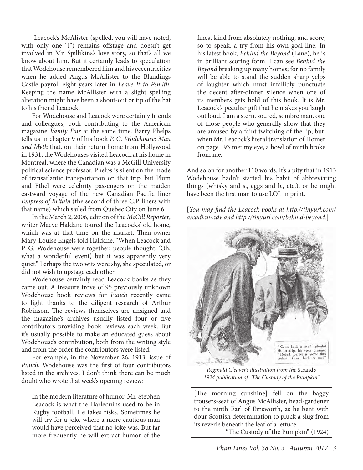Leacock's McAlister (spelled, you will have noted, with only one "l") remains offstage and doesn't get involved in Mr. Spillikins's love story, so that's all we know about him. But it certainly leads to speculation that Wodehouse remembered him and his eccentricities when he added Angus McAllister to the Blandings Castle payroll eight years later in *Leave It to Psmith*. Keeping the name McAllister with a slight spelling alteration might have been a shout-out or tip of the hat to his friend Leacock.

For Wodehouse and Leacock were certainly friends and colleagues, both contributing to the American magazine *Vanity Fair* at the same time. Barry Phelps tells us in chapter 9 of his book *P. G. Wodehouse: Man and Myth* that, on their return home from Hollywood in 1931, the Wodehouses visited Leacock at his home in Montreal, where the Canadian was a McGill University political science professor. Phelps is silent on the mode of transatlantic transportation on that trip, but Plum and Ethel were celebrity passengers on the maiden eastward voyage of the new Canadian Pacific liner *Empress of Britain* (the second of three C.P. liners with that name) which sailed from Quebec City on June 6.

In the March 2, 2006, edition of the *McGill Reporter*, writer Maeve Haldane toured the Leacocks' old home, which was at that time on the market. Then-owner Mary-Louise Engels told Haldane, "When Leacock and P. G. Wodehouse were together, people thought, 'Oh, what a wonderful event,' but it was apparently very quiet." Perhaps the two wits were shy, she speculated, or did not wish to upstage each other.

Wodehouse certainly read Leacock books as they came out. A treasure trove of 95 previously unknown Wodehouse book reviews for *Punch* recently came to light thanks to the diligent research of Arthur Robinson. The reviews themselves are unsigned and the magazine's archives usually listed four or five contributors providing book reviews each week. But it's usually possible to make an educated guess about Wodehouse's contribution, both from the writing style and from the order the contributors were listed.

For example, in the November 26, 1913, issue of *Punch*, Wodehouse was the first of four contributors listed in the archives. I don't think there can be much doubt who wrote that week's opening review:

In the modern literature of humor, Mr. Stephen Leacock is what the Harlequins used to be in Rugby football. He takes risks. Sometimes he will try for a joke where a more cautious man would have perceived that no joke was. But far more frequently he will extract humor of the

finest kind from absolutely nothing, and score, so to speak, a try from his own goal-line. In his latest book, *Behind the Beyond* (Lane), he is in brilliant scoring form. I can see *Behind the Beyond* breaking up many homes; for no family will be able to stand the sudden sharp yelps of laughter which must infallibly punctuate the decent after-dinner silence when one of its members gets hold of this book. It is Mr. Leacock's peculiar gift that he makes you laugh out loud. I am a stern, soured, sombre man, one of those people who generally show that they are amused by a faint twitching of the lip; but, when Mr. Leacock's literal translation of Homer on page 193 met my eye, a howl of mirth broke from me.

And so on for another 110 words. It's a pity that in 1913 Wodehouse hadn't started his habit of abbreviating things (whisky and s., eggs and b., etc.), or he might have been the first man to use LOL in print.

[*You may find the Leacock books at http://tinyurl.com/ arcadian-adv and http://tinyurl.com/behind-beyond.*]



*Reginald Cleaver's illustration from the* Strand*'s 1924 publication of "The Custody of the Pumpkin"*

[The morning sunshine] fell on the baggy trousers-seat of Angus McAllister, head-gardener to the ninth Earl of Emsworth, as he bent with dour Scottish determination to pluck a slug from its reverie beneath the leaf of a lettuce.

"The Custody of the Pumpkin" (1924)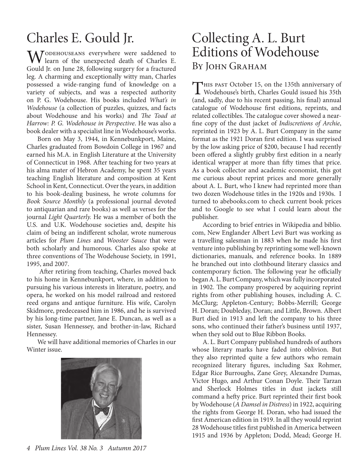# Charles E. Gould Jr.

MODEHOUSEANS everywhere were saddened to learn of the unexpected death of Charles E. Gould Jr. on June 28, following surgery for a fractured leg. A charming and exceptionally witty man, Charles possessed a wide-ranging fund of knowledge on a variety of subjects, and was a respected authority on P. G. Wodehouse. His books included *What's in Wodehouse* (a collection of puzzles, quizzes, and facts about Wodehouse and his works) and *The Toad at Harrow: P. G. Wodehouse in Perspective*. He was also a book dealer with a specialist line in Wodehouse's works.

Born on May 3, 1944, in Kennebunkport, Maine, Charles graduated from Bowdoin College in 1967 and earned his M.A. in English Literature at the University of Connecticut in 1968. After teaching for two years at his alma mater of Hebron Academy, he spent 35 years teaching English literature and composition at Kent School in Kent, Connecticut. Over the years, in addition to his book-dealing business, he wrote columns for *Book Source Monthly* (a professional journal devoted to antiquarian and rare books) as well as verses for the journal *Light Quarterly.* He was a member of both the U.S. and U.K. Wodehouse societies and, despite his claim of being an indifferent scholar, wrote numerous articles for *Plum Lines* and *Wooster Sauce* that were both scholarly and humorous. Charles also spoke at three conventions of The Wodehouse Society, in 1991, 1995, and 2007.

 After retiring from teaching, Charles moved back to his home in Kennebunkport, where, in addition to pursuing his various interests in literature, poetry, and opera, he worked on his model railroad and restored reed organs and antique furniture. His wife, Carolyn Skidmore, predeceased him in 1986, and he is survived by his long-time partner, Jane E. Duncan, as well as a sister, Susan Hennessey, and brother-in-law, Richard Hennessey.

We will have additional memories of Charles in our Winter issue.



### Collecting A. L. Burt Editions of Wodehouse BY JOHN GRAHAM

THIS PAST October 15, on the 135th anniversary of<br>Wodehouse's birth, Charles Gould issued his 35th<br>(end as the dust of his monet median his fact) manual (and, sadly, due to his recent passing, his final) annual catalogue of Wodehouse first editions, reprints, and related collectibles. The catalogue cover showed a nearfine copy of the dust jacket of *Indiscretions of Archie*, reprinted in 1923 by A. L. Burt Company in the same format as the 1921 Doran first edition. I was surprised by the low asking price of \$200, because I had recently been offered a slightly grubby first edition in a nearly identical wrapper at more than fifty times that price. As a book collector and academic economist, this got me curious about reprint prices and more generally about A. L. Burt, who I knew had reprinted more than two dozen Wodehouse titles in the 1920s and 1930s. I turned to abebooks.com to check current book prices and to Google to see what I could learn about the publisher.

According to brief entries in Wikipedia and biblio. com, New Englander Albert Levi Burt was working as a travelling salesman in 1883 when he made his first venture into publishing by reprinting some well-known dictionaries, manuals, and reference books. In 1889 he branched out into clothbound literary classics and contemporary fiction. The following year he officially began A. L. Burt Company, which was fully incorporated in 1902. The company prospered by acquiring reprint rights from other publishing houses, including A. C. McClurg; Appleton-Century; Bobbs-Merrill; George H. Doran; Doubleday, Doran; and Little, Brown. Albert Burt died in 1913 and left the company to his three sons, who continued their father's business until 1937, when they sold out to Blue Ribbon Books.

A. L. Burt Company published hundreds of authors whose literary marks have faded into oblivion. But they also reprinted quite a few authors who remain recognized literary figures, including Sax Rohmer, Edgar Rice Burroughs, Zane Grey, Alexandre Dumas, Victor Hugo, and Arthur Conan Doyle. Their Tarzan and Sherlock Holmes titles in dust jackets still command a hefty price. Burt reprinted their first book by Wodehouse (*A Damsel in Distress*) in 1922, acquiring the rights from George H. Doran, who had issued the first American edition in 1919. In all they would reprint 28 Wodehouse titles first published in America between 1915 and 1936 by Appleton; Dodd, Mead; George H.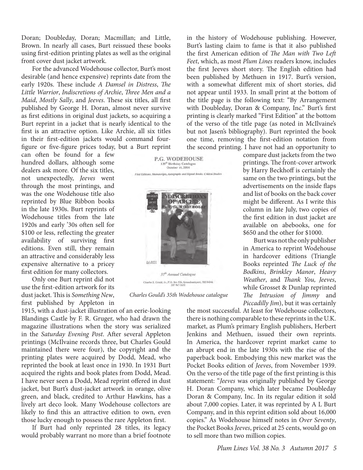Doran; Doubleday, Doran; Macmillan; and Little, Brown. In nearly all cases, Burt reissued these books using first-edition printing plates as well as the original front cover dust jacket artwork.

For the advanced Wodehouse collector, Burt's most desirable (and hence expensive) reprints date from the early 1920s. These include *A Damsel in Distress*, *The Little Warrior*, *Indiscretions of Archie*, *Three Men and a Maid*, *Mostly Sally*, and *Jeeves*. These six titles, all first published by George H. Doran, almost never survive as first editions in original dust jackets, so acquiring a Burt reprint in a jacket that is nearly identical to the first is an attractive option. Like Archie, all six titles in their first-edition jackets would command fourfigure or five-figure prices today, but a Burt reprint

can often be found for a few hundred dollars, although some dealers ask more. Of the six titles, not unexpectedly, *Jeeves* went through the most printings, and was the one Wodehouse title also reprinted by Blue Ribbon books in the late 1930s. Burt reprints of Wodehouse titles from the late 1920s and early '30s often sell for \$100 or less, reflecting the greater availability of surviving first editions. Even still, they remain an attractive and considerably less expensive alternative to a pricey first edition for many collectors.

Only one Burt reprint did not use the first-edition artwork for its dust jacket. This is *Something New*, first published by Appleton in

1915, with a dust-jacket illustration of an eerie-looking Blandings Castle by F. R. Gruger, who had drawn the magazine illustrations when the story was serialized in the *Saturday Evening Post*. After several Appleton printings (McIlvaine records three, but Charles Gould maintained there were four), the copyright and the printing plates were acquired by Dodd, Mead, who reprinted the book at least once in 1930. In 1931 Burt acquired the rights and book plates from Dodd, Mead. I have never seen a Dodd, Mead reprint offered in dust jacket, but Burt's dust-jacket artwork in orange, olive green, and black, credited to Arthur Hawkins, has a lively art deco look. Many Wodehouse collectors are likely to find this an attractive edition to own, even those lucky enough to possess the rare Appleton first.

If Burt had only reprinted 28 titles, its legacy would probably warrant no more than a brief footnote in the history of Wodehouse publishing. However, Burt's lasting claim to fame is that it also published the first American edition of *The Man with Two Left Feet*, which, as most *Plum Lines* readers know, includes the first Jeeves short story. The English edition had been published by Methuen in 1917. Burt's version, with a somewhat different mix of short stories, did not appear until 1933. In small print at the bottom of the title page is the following text: "By Arrangement with Doubleday, Doran & Company, Inc." Burt's first printing is clearly marked "First Edition" at the bottom of the verso of the title page (as noted in McIlvaine's but not Jasen's bibliography). Burt reprinted the book one time, removing the first-edition notation from the second printing. I have not had an opportunity to

compare dust jackets from the two printings. The front-cover artwork by Harry Beckhoff is certainly the same on the two printings, but the advertisements on the inside flaps and list of books on the back cover might be different. As I write this column in late July, two copies of the first edition in dust jacket are available on abebooks, one for \$650 and the other for \$1000.

Burt was not the only publisher in America to reprint Wodehouse in hardcover editions (Triangle Books reprinted *The Luck of the Bodkins*, *Brinkley Manor*, *Heavy Weather*, and *Thank You, Jeeves*, while Grosset & Dunlap reprinted *The Intrusion of Jimmy* and *Piccadilly Jim*), but it was certainly

the most successful. At least for Wodehouse collectors, there is nothing comparable to these reprints in the U.K. market, as Plum's primary English publishers, Herbert Jenkins and Methuen, issued their own reprints. In America, the hardcover reprint market came to an abrupt end in the late 1930s with the rise of the paperback book. Embodying this new market was the Pocket Books edition of *Jeeves*, from November 1939. On the verso of the title page of the first printing is this statement: "*Jeeves* was originally published by George H. Doran Company, which later became Doubleday Doran & Company, Inc. In its regular edition it sold about 7,000 copies. Later, it was reprinted by A L Burt Company, and in this reprint edition sold about 16,000 copies." As Wodehouse himself notes in *Over Seventy*, the Pocket Books *Jeeves*, priced at 25 cents, would go on to sell more than two million copies.



*Charles Gould's 35th Wodehouse catalogue*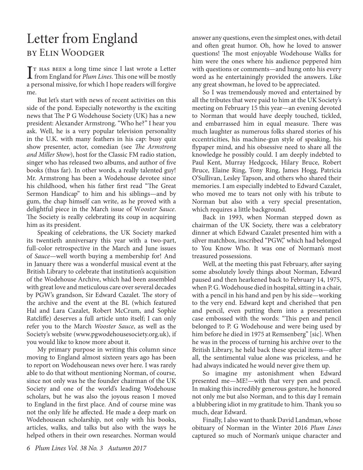### Letter from England by Elin Woodger

I<sup>T</sup> HAS BEEN a long time since I last wrote a Letter<br>from England for *Plum Lines*. This one will be mostly<br>family TT HAS BEEN a long time since I last wrote a Letter a personal missive, for which I hope readers will forgive me.

But let's start with news of recent activities on this side of the pond. Especially noteworthy is the exciting news that The P G Wodehouse Society (UK) has a new president: Alexander Armstrong. "Who he?" I hear you ask. Well, he is a very popular television personality in the U.K. with many feathers in his cap: busy quiz show presenter, actor, comedian (see *The Armstrong and Miller Show*), host for the Classic FM radio station, singer who has released two albums, and author of five books (thus far). In other words, a really talented guy! Mr. Armstrong has been a Wodehouse devotee since his childhood, when his father first read "The Great Sermon Handicap" to him and his siblings—and by gum, the chap himself can write, as he proved with a delightful piece in the March issue of W*ooster Sauce*. The Society is really celebrating its coup in acquiring him as its president.

Speaking of celebrations, the UK Society marked its twentieth anniversary this year with a two-part, full-color retrospective in the March and June issues of *Sauce*—well worth buying a membership for! And in January there was a wonderful musical event at the British Library to celebrate that institution's acquisition of the Wodehouse Archive, which had been assembled with great love and meticulous care over several decades by PGW's grandson, Sir Edward Cazalet. The story of the archive and the event at the BL (which featured Hal and Lara Cazalet, Robert McCrum, and Sophie Ratcliffe) deserves a full article unto itself; I can only refer you to the March *Wooster Sauce*, as well as the Society's website (www.pgwodehousesociety.org.uk), if you would like to know more about it.

My primary purpose in writing this column since moving to England almost sixteen years ago has been to report on Wodehousean news over here. I was rarely able to do that without mentioning Norman, of course, since not only was he the founder chairman of the UK Society and one of the world's leading Wodehouse scholars, but he was also the joyous reason I moved to England in the first place. And of course mine was not the only life he affected. He made a deep mark on Wodehousean scholarship, not only with his books, articles, walks, and talks but also with the ways he helped others in their own researches. Norman would

answer any questions, even the simplest ones, with detail and often great humor. Oh, how he loved to answer questions! The most enjoyable Wodehouse Walks for him were the ones where his audience peppered him with questions or comments—and hung onto his every word as he entertainingly provided the answers. Like any great showman, he loved to be appreciated.

So I was tremendously moved and entertained by all the tributes that were paid to him at the UK Society's meeting on February 15 this year—an evening devoted to Norman that would have deeply touched, tickled, and embarrassed him in equal measure. There was much laughter as numerous folks shared stories of his eccentricities, his machine-gun style of speaking, his flypaper mind, and his obsessive need to share all the knowledge he possibly could. I am deeply indebted to Paul Kent, Murray Hedgcock, Hilary Bruce, Robert Bruce, Elaine Ring, Tony Ring, James Hogg, Patricia O'Sullivan, Lesley Tapson, and others who shared their memories. I am especially indebted to Edward Cazalet, who moved me to tears not only with his tribute to Norman but also with a very special presentation, which requires a little background.

Back in 1993, when Norman stepped down as chairman of the UK Society, there was a celebratory dinner at which Edward Cazalet presented him with a silver matchbox, inscribed "PGW," which had belonged to You Know Who. It was one of Norman's most treasured possessions.

Well, at the meeting this past February, after saying some absolutely lovely things about Norman, Edward paused and then hearkened back to February 14, 1975, when P. G. Wodehouse died in hospital, sitting in a chair, with a pencil in his hand and pen by his side—working to the very end. Edward kept and cherished that pen and pencil, even putting them into a presentation case embossed with the words: "This pen and pencil belonged to P. G Wodehouse and were being used by him before he died in 1975 at Remsenberg" [sic]. When he was in the process of turning his archive over to the British Library, he held back these special items—after all, the sentimental value alone was priceless, and he had always indicated he would never give them up.

So imagine my astonishment when Edward presented me—ME!—with that very pen and pencil. In making this incredibly generous gesture, he honored not only me but also Norman, and to this day I remain a blubbering idiot in my gratitude to him. Thank you so much, dear Edward.

Finally, I also want to thank David Landman, whose obituary of Norman in the Winter 2016 *Plum Lines*  captured so much of Norman's unique character and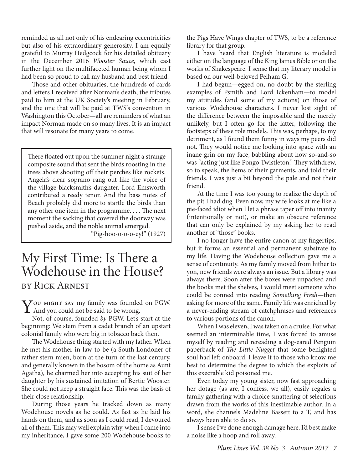reminded us all not only of his endearing eccentricities but also of his extraordinary generosity. I am equally grateful to Murray Hedgcock for his detailed obituary in the December 2016 *Wooster Sauce,* which cast further light on the multifaceted human being whom I had been so proud to call my husband and best friend.

Those and other obituaries, the hundreds of cards and letters I received after Norman's death, the tributes paid to him at the UK Society's meeting in February, and the one that will be paid at TWS's convention in Washington this October—all are reminders of what an impact Norman made on so many lives. It is an impact that will resonate for many years to come.

There floated out upon the summer night a strange composite sound that sent the birds roosting in the trees above shooting off their perches like rockets. Angela's clear soprano rang out like the voice of the village blacksmith's daughter. Lord Emsworth contributed a reedy tenor. And the bass notes of Beach probably did more to startle the birds than any other one item in the programme. . . . The next moment the sacking that covered the doorway was pushed aside, and the noble animal emerged.

"Pig-hoo-o-o-o-ey!" (1927)

### My First Time: Is There a Wodehouse in the House? by Rick Arnest

You MIGHT SAY my family was founded on PGW. And you could not be said to be wrong.

Not, of course, founded *by* PGW. Let's start at the beginning: We stem from a cadet branch of an upstart colonial family who were big in tobacco back then.

The Wodehouse thing started with my father. When he met his mother-in-law-to-be (a South Londoner of rather stern mien, born at the turn of the last century, and generally known in the bosom of the home as Aunt Agatha), he charmed her into accepting his suit of her daughter by his sustained imitation of Bertie Wooster. She could not keep a straight face. This was the basis of their close relationship.

During those years he tracked down as many Wodehouse novels as he could. As fast as he laid his hands on them, and as soon as I could read, I devoured all of them. This may well explain why, when I came into my inheritance, I gave some 200 Wodehouse books to

the Pigs Have Wings chapter of TWS, to be a reference library for that group.

I have heard that English literature is modeled either on the language of the King James Bible or on the works of Shakespeare. I sense that my literary model is based on our well-beloved Pelham G.

I had begun—egged on, no doubt by the sterling examples of Psmith and Lord Ickenham—to model my attitudes (and some of my actions) on those of various Wodehouse characters. I never lost sight of the difference between the impossible and the merely unlikely, but I often go for the latter, following the footsteps of these role models. This was, perhaps, to my detriment, as I found them funny in ways my peers did not. They would notice me looking into space with an inane grin on my face, babbling about how so-and-so was "acting just like Pongo Twistleton." They withdrew, so to speak, the hems of their garments, and told their friends. I was just a bit beyond the pale and not their friend.

At the time I was too young to realize the depth of the pit I had dug. Even now, my wife looks at me like a pie-faced idiot when I let a phrase taper off into inanity (intentionally or not), or make an obscure reference that can only be explained by my asking her to read another of "those" books.

I no longer have the entire canon at my fingertips, but it forms an essential and permanent substrate to my life. Having the Wodehouse collection gave me a sense of continuity. As my family moved from hither to yon, new friends were always an issue. But a library was always there. Soon after the boxes were unpacked and the books met the shelves, I would meet someone who could be conned into reading *Something Fresh—*then asking for more of the same. Family life was enriched by a never-ending stream of catchphrases and references to various portions of the canon.

When I was eleven, I was taken on a cruise. For what seemed an interminable time, I was forced to amuse myself by reading and rereading a dog-eared Penguin paperback of *The Little Nugget* that some benighted soul had left onboard. I leave it to those who know me best to determine the degree to which the exploits of this execrable kid poisoned me.

Even today my young sister, now fast approaching her dotage (as are, I confess, we all), easily regales a family gathering with a choice smattering of selections drawn from the works of this inestimable author. In a word, she channels Madeline Bassett to a T, and has always been able to do so.

I sense I've done enough damage here. I'd best make a noise like a hoop and roll away.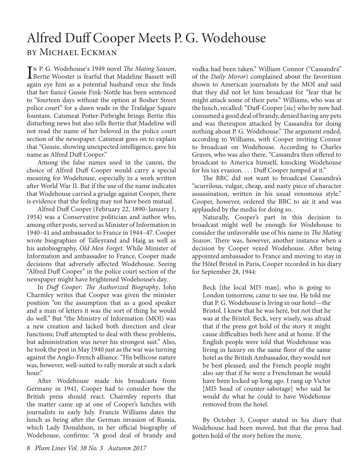## Alfred Duff Cooper Meets P. G. Wodehouse by Michael Eckman

IN P. G. Wodehouse's 1949 novel *The Mating Season*,<br>Bertie Wooster is fearful that Madeline Bassett will n P. G. Wodehouse's 1949 novel *The Mating Season*, again eye him as a potential husband once she finds that her fiancé Gussie Fink-Nottle has been sentenced to "fourteen days without the option at Bosher Street police court" for a dawn wade in the Trafalgar Square fountain. Catsmeat Potter-Pirbright brings Bertie this disturbing news but also tells Bertie that Madeline will not read the name of her beloved in the police court section of the newspaper. Catsmeat goes on to explain that "Gussie, showing unexpected intelligence, gave his name as Alfred Duff Cooper."

Among the false names used in the canon, the choice of Alfred Duff Cooper would carry a special meaning for Wodehouse, especially in a work written after World War II. But if the use of the name indicates that Wodehouse carried a grudge against Cooper, there is evidence that the feeling may not have been mutual.

Alfred Duff Cooper (February 22, 1890–January 1, 1954) was a Conservative politician and author who, among other posts, served as Minister of Information in 1940–41 and ambassador to France in 1944–47. Cooper wrote biographies of Talleyrand and Haig as well as his autobiography, *Old Men Forget.* While Minister of Information and ambassador to France, Cooper made decisions that adversely affected Wodehouse. Seeing "Alfred Duff Cooper" in the police court section of the newspaper might have brightened Wodehouse's day.

In *Duff Cooper: The Authorized Biography*, John Charmley writes that Cooper was given the minister position "on the assumption that as a good speaker and a man of letters it was the sort of thing he would do well." But "the Ministry of Information (MOI) was a new creation and lacked both direction and clear functions; Duff attempted to deal with these problems, but administration was never his strongest suit." Also, he took the post in May 1940 just as the war was turning against the Anglo-French alliance. "His bellicose nature was, however, well-suited to rally morale at such a dark hour."

After Wodehouse made his broadcasts from Germany in 1941, Cooper had to consider how the British press should react. Charmley reports that the matter came up at one of Cooper's lunches with journalists in early July. Francis Williams dates the lunch as being after the German invasion of Russia, which Lady Donaldson, in her official biography of Wodehouse, confirms: "A good deal of brandy and

vodka had been taken." William Connor ("Cassandra" of the *Daily Mirror*) complained about the favoritism shown to American journalists by the MOI and said that they did not let him broadcast for "fear that he might attack some of their pets." Williams, who was at the lunch, recalled: "Duff-Cooper [sic] who by now had consumed a good deal of brandy, denied having any pets and was thereupon attacked by Cassandra for doing nothing about P. G. Wodehouse." The argument ended, according to Williams, with Cooper inviting Connor to broadcast on Wodehouse. According to Charles Graves, who was also there, "Cassandra then offered to broadcast to America himself, knocking Wodehouse for his tax evasion. . . . Duff Cooper jumped at it."

The BBC did not want to broadcast Cassandra's "scurrilous, vulgar, cheap, and nasty piece of character assassination, written in his usual venomous style." Cooper, however, ordered the BBC to air it and was applauded by the media for doing so.

Naturally, Cooper's part in this decision to broadcast might well be enough for Wodehouse to consider the unfavorable use of his name in *The Mating Season*. There was, however, another instance when a decision by Cooper vexed Wodehouse. After being appointed ambassador to France and moving to stay in the Hôtel Bristol in Paris, Cooper recorded in his diary for September 28, 1944:

Beck [the local MI5 man], who is going to London tomorrow, came to see me. He told me that P. G. Wodehouse is living in our hotel—the Bristol. I knew that he was here, but not that he was at the Bristol. Beck, very wisely, was afraid that if the press got hold of the story it might cause difficulties both here and at home. If the English people were told that Wodehouse was living in luxury on the same floor of the same hotel as the British Ambassador, they would not be best pleased; and the French people might also say that if he were a Frenchman he would have been locked up long ago. I rang up Victor [MI5 head of counter-sabotage] who said he would do what he could to have Wodehouse removed from the hotel.

By October 3, Cooper stated in his diary that Wodehouse had been moved, but that the press had gotten hold of the story before the move.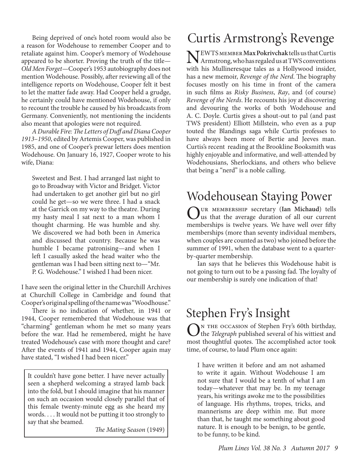Being deprived of one's hotel room would also be a reason for Wodehouse to remember Cooper and to retaliate against him. Cooper's memory of Wodehouse appeared to be shorter. Proving the truth of the title— *Old Men Forget—*Cooper's 1953 autobiography does not mention Wodehouse. Possibly, after reviewing all of the intelligence reports on Wodehouse, Cooper felt it best to let the matter fade away. Had Cooper held a grudge, he certainly could have mentioned Wodehouse, if only to recount the trouble he caused by his broadcasts from Germany. Conveniently, not mentioning the incidents also meant that apologies were not required.

*A Durable Fire: The Letters of Duff and Diana Cooper 1913–1950*, edited by Artemis Cooper, was published in 1985, and one of Cooper's prewar letters does mention Wodehouse. On January 16, 1927, Cooper wrote to his wife, Diana:

Sweetest and Best. I had arranged last night to go to Broadway with Victor and Bridget. Victor had undertaken to get another girl but no girl could he get—so we were three. I had a snack at the Garrick on my way to the theatre. During my hasty meal I sat next to a man whom I thought charming. He was humble and shy. We discovered we had both been in America and discussed that country. Because he was humble I became patronising—and when I left I casually asked the head waiter who the gentleman was I had been sitting next to—"Mr. P. G. Wodehouse." I wished I had been nicer.

I have seen the original letter in the Churchill Archives at Churchill College in Cambridge and found that Cooper's original spelling of the name was "Woodhouse."

There is no indication of whether, in 1941 or 1944, Cooper remembered that Wodehouse was that "charming" gentleman whom he met so many years before the war. Had he remembered, might he have treated Wodehouse's case with more thought and care? After the events of 1941 and 1944, Cooper again may have stated, "I wished I had been nicer."

It couldn't have gone better. I have never actually seen a shepherd welcoming a strayed lamb back into the fold, but I should imagine that his manner on such an occasion would closely parallel that of this female twenty-minute egg as she heard my words. . . . It would not be putting it too strongly to say that she beamed.

*The Mating Season* (1949)

# Curtis Armstrong's Revenge

NEWTS MEMBER Max Pokrivchak tells us that Curtis Armstrong, who has regaled us at TWS conventions with his Mullineresque tales as a Hollywood insider, has a new memoir, *Revenge of the Nerd*. The biography focuses mostly on his time in front of the camera in such films as *Risky Business*, *Ray*, and (of course) *Revenge of the Nerds*. He recounts his joy at discovering and devouring the works of both Wodehouse and A. C. Doyle. Curtis gives a shout-out to pal (and past TWS president) Elliott Millstein, who even as a pup touted the Blandings saga while Curtis professes to have always been more of Bertie and Jeeves man. Curtis's recent reading at the Brookline Booksmith was highly enjoyable and informative, and well-attended by Wodehousians, Sherlockians, and others who believe that being a "nerd" is a noble calling*.*

# Wodehousean Staying Power

Our membership secretary (**Ian Michaud**) tells us that the average duration of all our current memberships is twelve years. We have well over fifty memberships (more than seventy individual members, when couples are counted as two) who joined before the summer of 1991, when the database went to a quarterby-quarter membership.

Ian says that he believes this Wodehouse habit is not going to turn out to be a passing fad. The loyalty of our membership is surely one indication of that!

# Stephen Fry's Insight

ON THE OCCASION of Stephen Fry's 60th birthday,<br>the *Telegraph* published several of his wittiest and most thoughtful quotes. The accomplished actor took time, of course, to laud Plum once again:

I have written it before and am not ashamed to write it again. Without Wodehouse I am not sure that I would be a tenth of what I am today—whatever that may be. In my teenage years, his writings awoke me to the possibilities of language. His rhythms, tropes, tricks, and mannerisms are deep within me. But more than that, he taught me something about good nature. It is enough to be benign, to be gentle, to be funny, to be kind.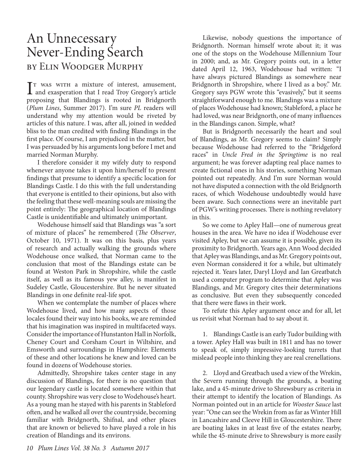### An Unnecessary Never-Ending Search by Elin Woodger Murphy

I<sup>T</sup> WAS WITH a mixture of interest, amusement,<br>and exasperation that I read Troy Gregory's article IT WAS WITH a mixture of interest, amusement, proposing that Blandings is rooted in Bridgnorth (*Plum Lines*, Summer 2017). I'm sure *PL* readers will understand why my attention would be riveted by articles of this nature. I was, after all, joined in wedded bliss to the man credited with finding Blandings in the first place. Of course, I am prejudiced in the matter, but I was persuaded by his arguments long before I met and married Norman Murphy.

I therefore consider it my wifely duty to respond whenever anyone takes it upon him/herself to present findings that presume to identify a specific location for Blandings Castle. I do this with the full understanding that everyone is entitled to their opinions, but also with the feeling that these well-meaning souls are missing the point entirely: The geographical location of Blandings Castle is unidentifiable and ultimately unimportant.

Wodehouse himself said that Blandings was "a sort of mixture of places" he remembered (*The Observer*, October 10, 1971). It was on this basis, plus years of research and actually walking the grounds where Wodehouse once walked, that Norman came to the conclusion that most of the Blandings estate can be found at Weston Park in Shropshire, while the castle itself, as well as its famous yew alley, is manifest in Sudeley Castle, Gloucestershire. But he never situated Blandings in one definite real-life spot.

When we contemplate the number of places where Wodehouse lived, and how many aspects of those locales found their way into his books, we are reminded that his imagination was inspired in multifaceted ways. Consider the importance of Hunstanton Hall in Norfolk, Cheney Court and Corsham Court in Wiltshire, and Emsworth and surroundings in Hampshire: Elements of these and other locations he knew and loved can be found in dozens of Wodehouse stories.

Admittedly, Shropshire takes center stage in any discussion of Blandings, for there is no question that our legendary castle is located somewhere within that county. Shropshire was very close to Wodehouse's heart. As a young man he stayed with his parents in Stableford often, and he walked all over the countryside, becoming familiar with Bridgnorth, Shifnal, and other places that are known or believed to have played a role in his creation of Blandings and its environs.

Likewise, nobody questions the importance of Bridgnorth. Norman himself wrote about it; it was one of the stops on the Wodehouse Millennium Tour in 2000; and, as Mr. Gregory points out, in a letter dated April 12, 1963, Wodehouse had written: "I have always pictured Blandings as somewhere near Bridgnorth in Shropshire, where I lived as a boy." Mr. Gregory says PGW wrote this "evasively," but it seems straightforward enough to me. Blandings was a mixture of places Wodehouse had known; Stableford, a place he had loved, was near Bridgnorth, one of many influences in the Blandings canon. Simple, what?

But is Bridgnorth necessarily the heart and soul of Blandings, as Mr. Gregory seems to claim? Simply because Wodehouse had referred to the "Bridgeford races" in *Uncle Fred in the Springtime* is no real argument; he was forever adapting real place names to create fictional ones in his stories, something Norman pointed out repeatedly. And I'm sure Norman would not have disputed a connection with the old Bridgnorth races, of which Wodehouse undoubtedly would have been aware. Such connections were an inevitable part of PGW's writing processes. There is nothing revelatory in this.

So we come to Apley Hall—one of numerous great houses in the area. We have no idea if Wodehouse ever visited Apley, but we can assume it is possible, given its proximity to Bridgnorth. Years ago, Ann Wood decided that Apley was Blandings, and as Mr. Gregory points out, even Norman considered it for a while, but ultimately rejected it. Years later, Daryl Lloyd and Ian Greatbatch used a computer program to determine that Apley was Blandings, and Mr. Gregory cites their determinations as conclusive. But even they subsequently conceded that there were flaws in their work.

To refute this Apley argument once and for all, let us revisit what Norman had to say about it.

1. Blandings Castle is an early Tudor building with a tower. Apley Hall was built in 1811 and has no tower to speak of, simply impressive-looking turrets that mislead people into thinking they are real crenellations.

2. Lloyd and Greatbach used a view of the Wrekin, the Severn running through the grounds, a boating lake, and a 45-minute drive to Shrewsbury as criteria in their attempt to identify the location of Blandings. As Norman pointed out in an article for *Wooster Sauce* last year: "One can see the Wrekin from as far as Winter Hill in Lancashire and Cleeve Hill in Gloucestershire. There are boating lakes in at least five of the estates nearby, while the 45-minute drive to Shrewsbury is more easily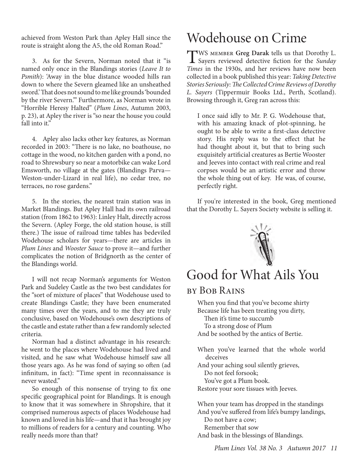achieved from Weston Park than Apley Hall since the route is straight along the A5, the old Roman Road."

3. As for the Severn, Norman noted that it "is named only once in the Blandings stories (*Leave It to Psmith*): 'Away in the blue distance wooded hills ran down to where the Severn gleamed like an unsheathed sword.' That does not sound to me like grounds 'bounded by the river Severn.'" Furthermore, as Norman wrote in "Horrible Heresy Halted" (*Plum Lines*, Autumn 2003, p. 23), at Apley the river is "so near the house you could fall into it."

4. Apley also lacks other key features, as Norman recorded in 2003: "There is no lake, no boathouse, no cottage in the wood, no kitchen garden with a pond, no road to Shrewsbury so near a motorbike can wake Lord Emsworth, no village at the gates (Blandings Parva— Weston-under-Lizard in real life), no cedar tree, no terraces, no rose gardens."

5. In the stories, the nearest train station was in Market Blandings. But Apley Hall had its own railroad station (from 1862 to 1963): Linley Halt, directly across the Severn. (Apley Forge, the old station house, is still there.) The issue of railroad time tables has bedeviled Wodehouse scholars for years—there are articles in *Plum Lines* and *Wooster Sauce* to prove it—and further complicates the notion of Bridgnorth as the center of the Blandings world.

I will not recap Norman's arguments for Weston Park and Sudeley Castle as the two best candidates for the "sort of mixture of places" that Wodehouse used to create Blandings Castle; they have been enumerated many times over the years, and to me they are truly conclusive, based on Wodehouse's own descriptions of the castle and estate rather than a few randomly selected criteria.

Norman had a distinct advantage in his research: he went to the places where Wodehouse had lived and visited, and he saw what Wodehouse himself saw all those years ago. As he was fond of saying so often (ad infinitum, in fact): "Time spent in reconnaissance is never wasted."

So enough of this nonsense of trying to fix one specific geographical point for Blandings. It is enough to know that it was somewhere in Shropshire, that it comprised numerous aspects of places Wodehouse had known and loved in his life—and that it has brought joy to millions of readers for a century and counting. Who really needs more than that?

# Wodehouse on Crime

TWS member **Greg Darak** tells us that Dorothy L. Sayers reviewed detective fiction for the *Sunday Times* in the 1930s, and her reviews have now been collected in a book published this year: *Taking Detective Stories Seriously: The Collected Crime Reviews of Dorothy L. Sayers* (Tippermuir Books Ltd., Perth, Scotland). Browsing through it, Greg ran across this:

I once said idly to Mr. P. G. Wodehouse that, with his amazing knack of plot-spinning, he ought to be able to write a first-class detective story. His reply was to the effect that he had thought about it, but that to bring such exquisitely artificial creatures as Bertie Wooster and Jeeves into contact with real crime and real corpses would be an artistic error and throw the whole thing out of key. He was, of course, perfectly right.

If you're interested in the book, Greg mentioned that the Dorothy L. Sayers Society website is selling it.



# Good for What Ails You

#### by Bob Rains

When you find that you've become shirty Because life has been treating you dirty, Then it's time to succumb To a strong dose of Plum And be soothed by the antics of Bertie.

When you've learned that the whole world deceives And your aching soul silently grieves,

Do not feel forsook;

You've got a Plum book.

Restore your sore tissues with Jeeves.

When your team has dropped in the standings And you've suffered from life's bumpy landings, Do not have a cow;

Remember that sow

And bask in the blessings of Blandings.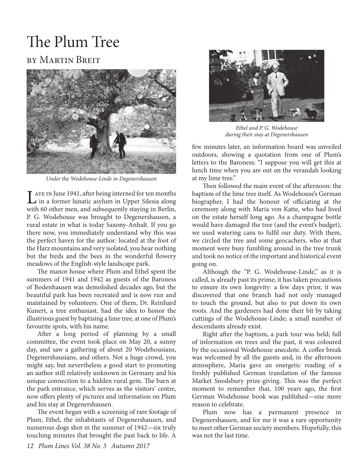# The Plum Tree

#### by Martin Breit



*Under the Wodehouse-Linde in Degenershausen*

I ATE IN June 1941, after being interned for ten months **L** in a former lunatic asylum in Upper Silesia along with 60 other men, and subsequently staying in Berlin, P. G. Wodehouse was brought to Degenershausen, a rural estate in what is today Saxony-Anhalt. If you go there now, you immediately understand why this was the perfect haven for the author: located at the foot of the Harz mountains and very isolated, you hear nothing but the birds and the bees in the wonderful flowery meadows of the English-style landscape park.

The manor house where Plum and Ethel spent the summers of 1941 and 1942 as guests of the Baroness of Bodenhausen was demolished decades ago, but the beautiful park has been recreated and is now run and maintained by volunteers. One of them, Dr. Reinhard Kunert, a tree enthusiast, had the idea to honor the illustrious guest by baptising a lime tree, at one of Plum's favourite spots, with his name.

After a long period of planning by a small committee, the event took place on May 20, a sunny day, and saw a gathering of about 20 Wodehousians, Degenershausians, and others. Not a huge crowd, you might say, but nevertheless a good start to promoting an author still relatively unknown in Germany and his unique connection to a hidden rural gem. The barn at the park entrance, which serves as the visitors' centre, now offers plenty of pictures and information on Plum and his stay at Degenershausen.

The event began with a screening of rare footage of Plum, Ethel, the inhabitants of Degenershausen, and numerous dogs shot in the summer of 1942—six truly touching minutes that brought the past back to life. A



*Ethel and P. G. Wodehouse during their stay at Degenershausen*

few minutes later, an information board was unveiled outdoors, showing a quotation from one of Plum's letters to the Baroness: "I suppose you will get this at lunch time when you are out on the verandah looking at my lime tree."

Then followed the main event of the afternoon: the baptism of the lime tree itself. As Wodehouse's German biographer, I had the honour of officiating at the ceremony along with Maria von Katte, who had lived on the estate herself long ago. As a champagne bottle would have damaged the tree (and the event's budget), we used watering cans to fulfil our duty. With them, we circled the tree and some geocachers, who at that moment were busy fumbling around in the tree trunk and took no notice of the important and historical event going on.

Although the "P. G. Wodehouse-Linde," as it is called, is already past its prime, it has taken precautions to ensure its own longevity: a few days prior, it was discovered that one branch had not only managed to touch the ground, but also to put down its own roots. And the gardeners had done their bit by taking cuttings of the Wodehouse-Linde; a small number of descendants already exist.

Right after the baptism, a park tour was held; full of information on trees and the past, it was coloured by the occasional Wodehouse anecdote. A coffee break was welcomed by all the guests and, in the afternoon atmosphere, Maria gave an energetic reading of a freshly published German translation of the famous Market Snodsbury prize-giving. This was the perfect moment to remember that, 100 years ago, the first German Wodehouse book was published—one more reason to celebrate.

Plum now has a permanent presence in Degenershausen, and for me it was a rare opportunity to meet other German society members. Hopefully, this was not the last time.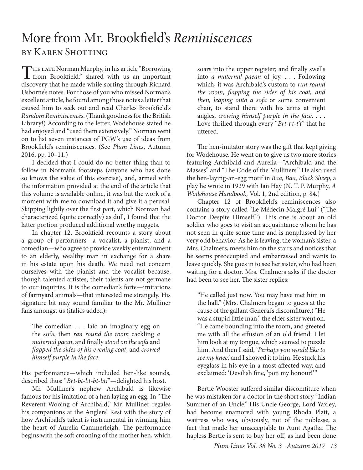### More from Mr. Brookfield's *Reminiscences* by Karen Shotting

THE LATE Norman Murphy, in his article "Borrowing"<br>from Brookfield," shared with us an important discovery that he made while sorting through Richard Usborne's notes. For those of you who missed Norman's excellent article, he found among those notes a letter that caused him to seek out and read Charles Brookfield's *Random Reminiscences*. (Thank goodness for the British Library!) According to the letter, Wodehouse stated he had enjoyed and "used them extensively." Norman went on to list seven instances of PGW's use of ideas from Brookfield's reminiscences. (See *Plum Lines*, Autumn 2016, pp. 10–11.)

I decided that I could do no better thing than to follow in Norman's footsteps (anyone who has done so knows the value of this exercise), and, armed with the information provided at the end of the article that this volume is available online, it was but the work of a moment with me to download it and give it a perusal. Skipping lightly over the first part, which Norman had characterized (quite correctly) as dull, I found that the latter portion produced additional worthy nuggets.

In chapter 12, Brookfield recounts a story about a group of performers—a vocalist, a pianist, and a comedian—who agree to provide weekly entertainment to an elderly, wealthy man in exchange for a share in his estate upon his death. We need not concern ourselves with the pianist and the vocalist because, though talented artistes, their talents are not germane to our inquiries. It is the comedian's forte—imitations of farmyard animals—that interested me strangely. His signature bit may sound familiar to the Mr. Mulliner fans amongst us (italics added):

The comedian . . . laid an imaginary egg on the sofa, then *ran round the room* cackling *a maternal pæan*, and finally *stood on the sofa* and *flapped the sides of his evening coat*, and *crowed himself purple in the face*.

His performance—which included hen-like sounds, described thus: "*Brt-bt-bt-bt-bt!*"—delighted his host.

Mr. Mulliner's nephew Archibald is likewise famous for his imitation of a hen laying an egg. In "The Reverent Wooing of Archibald," Mr. Mulliner regales his companions at the Anglers' Rest with the story of how Archibald's talent is instrumental in winning him the heart of Aurelia Cammerleigh. The performance begins with the soft crooning of the mother hen, which soars into the upper register; and finally swells into *a maternal paean* of joy. . . . Following which, it was Archibald's custom to *run round the room, flapping the sides of his coat, and then, leaping onto a sofa* or some convenient chair, to stand there with his arms at right angles, *crowing himself purple in the face*. . . . Love thrilled through every "*Brt-t't-t't*" that he uttered.

The hen-imitator story was the gift that kept giving for Wodehouse. He went on to give us two more stories featuring Archibald and Aurelia—"Archibald and the Masses" and "The Code of the Mulliners." He also used the hen-laying-an-egg motif in *Baa, Baa, Black Sheep*, a play he wrote in 1929 with Ian Hay (N. T. P. Murphy, *A Wodehouse Handbook,* Vol. 1, 2nd edition, p. 84.)

Chapter 12 of Brookfield's reminiscences also contains a story called "Le Médecin Malgré Lui" ("The Doctor Despite Himself"). This one is about an old soldier who goes to visit an acquaintance whom he has not seen in quite some time and is nonplussed by her very odd behavior. As he is leaving, the woman's sister, a Mrs. Chalmers, meets him on the stairs and notices that he seems preoccupied and embarrassed and wants to leave quickly. She goes in to see her sister, who had been waiting for a doctor. Mrs. Chalmers asks if the doctor had been to see her. The sister replies:

"He called just now. You may have met him in the hall." (Mrs. Chalmers began to guess at the cause of the gallant General's discomfiture.) "He was a stupid little man," the elder sister went on. "He came bounding into the room, and greeted me with all the effusion of an old friend. I let him look at my tongue, which seemed to puzzle him. And then I said, '*Perhaps you would like to see my knee*,' and I showed it to him. He stuck his eyeglass in his eye in a most affected way, and exclaimed: 'Devilish fine, 'pon my honour!'"

Bertie Wooster suffered similar discomfiture when he was mistaken for a doctor in the short story "Indian Summer of an Uncle." His Uncle George, Lord Yaxley, had become enamored with young Rhoda Platt, a waitress who was, obviously, not of the noblesse, a fact that made her unacceptable to Aunt Agatha. The hapless Bertie is sent to buy her off, as had been done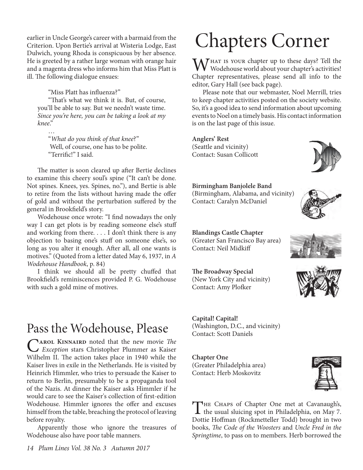earlier in Uncle George's career with a barmaid from the Criterion. Upon Bertie's arrival at Wisteria Lodge, East Dulwich, young Rhoda is conspicuous by her absence. He is greeted by a rather large woman with orange hair and a magenta dress who informs him that Miss Platt is ill. The following dialogue ensues:

"Miss Platt has influenza?"

"That's what we think it is. But, of course, you'll be able to say. But we needn't waste time. *Since you're here, you can be taking a look at my knee*."

… "*What do you think of that knee*?" Well, of course, one has to be polite. "Terrific!" I said.

The matter is soon cleared up after Bertie declines to examine this cheery soul's spine ("It can't be done. Not spines. Knees, yes. Spines, no."), and Bertie is able to retire from the lists without having made the offer of gold and without the perturbation suffered by the general in Brookfield's story.

Wodehouse once wrote: "I find nowadays the only way I can get plots is by reading someone else's stuff and working from there. . . . I don't think there is any objection to basing one's stuff on someone else's, so long as you alter it enough. After all, all one wants is motives." (Quoted from a letter dated May 6, 1937, in *A Wodehouse Handbook*, p. 84)

I think we should all be pretty chuffed that Brookfield's reminiscences provided P. G. Wodehouse with such a gold mine of motives.

### Pass the Wodehouse, Please

C**arol Kinnaird** noted that the new movie *The Exception* stars Christopher Plummer as Kaiser Wilhelm II. The action takes place in 1940 while the Kaiser lives in exile in the Netherlands. He is visited by Heinrich Himmler, who tries to persuade the Kaiser to return to Berlin, presumably to be a propaganda tool of the Nazis. At dinner the Kaiser asks Himmler if he would care to see the Kaiser's collection of first-edition Wodehouse. Himmler ignores the offer and excuses himself from the table, breaching the protocol of leaving before royalty.

Apparently those who ignore the treasures of Wodehouse also have poor table manners.

# Chapters Corner

 $M_{\rm W}$  HAT is your chapter up to these days? Tell the Wodehouse world about your chapter's activities! Chapter representatives, please send all info to the editor, Gary Hall (see back page).

Please note that our webmaster, Noel Merrill, tries to keep chapter activities posted on the society website. So, it's a good idea to send information about upcoming events to Noel on a timely basis. His contact information is on the last page of this issue.

**Anglers' Rest** (Seattle and vicinity) Contact: Susan Collicott

#### **Birmingham Banjolele Band**

(Birmingham, Alabama, and vicinity) Contact: Caralyn McDaniel

**Blandings Castle Chapter** (Greater San Francisco Bay area) Contact: Neil Midkiff

**The Broadway Special** (New York City and vicinity) Contact: Amy Plofker

**Capital! Capital!**  (Washington, D.C., and vicinity) Contact: Scott Daniels

**Chapter One**  (Greater Philadelphia area) Contact: Herb Moskovitz







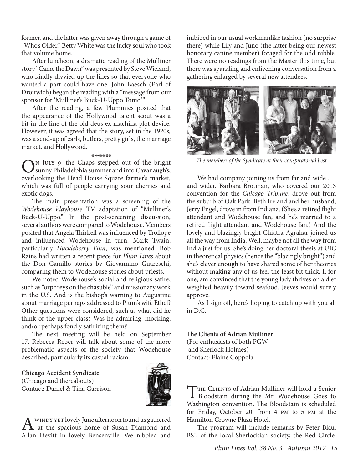former, and the latter was given away through a game of "Who's Older." Betty White was the lucky soul who took that volume home.

After luncheon, a dramatic reading of the Mulliner story "Came the Dawn" was presented by Steve Wieland, who kindly divvied up the lines so that everyone who wanted a part could have one. John Baesch (Earl of Droitwich) began the reading with a "message from our sponsor for 'Mulliner's Buck-U-Uppo Tonic.'"

After the reading, a few Plummies posited that the appearance of the Hollywood talent scout was a bit in the line of the old deus ex machina plot device. However, it was agreed that the story, set in the 1920s, was a send-up of earls, butlers, pretty girls, the marriage market, and Hollywood.

#### \*\*\*\*\*\*\*

 $\bigodot^N$  JULY 9, the Chaps stepped out of the bright summy Philadelphia summer and into Cavanaugh's, sunny Philadelphia summer and into Cavanaugh's, overlooking the Head House Square farmer's market, which was full of people carrying sour cherries and exotic dogs.

The main presentation was a screening of the *Wodehouse Playhouse* TV adaptation of "Mulliner's Buck-U-Uppo." In the post-screening discussion, several authors were compared to Wodehouse. Members posited that Angela Thirkell was influenced by Trollope and influenced Wodehouse in turn. Mark Twain, particularly *Huckleberry Finn*, was mentioned. Bob Rains had written a recent piece for *Plum Lines* about the Don Camillo stories by Giovannino Guareschi, comparing them to Wodehouse stories about priests.

We noted Wodehouse's social and religious satire, such as "orphreys on the chasuble" and missionary work in the U.S. And is the bishop's warning to Augustine about marriage perhaps addressed to Plum's wife Ethel? Other questions were considered, such as what did he think of the upper class? Was he admiring, mocking, and/or perhaps fondly satirizing them?

The next meeting will be held on September 17. Rebecca Reber will talk about some of the more problematic aspects of the society that Wodehouse described, particularly its casual racism.

#### **Chicago Accident Syndicate** (Chicago and thereabouts) Contact: Daniel & Tina Garrison



A WINDY YET lovely June afternoon found us gathered<br>
at the spacious home of Susan Diamond and<br>
Allen Devitt in Jacobs Beneverilly, Marrially developed Allan Devitt in lovely Bensenville. We nibbled and

imbibed in our usual workmanlike fashion (no surprise there) while Lily and Juno (the latter being our newest honorary canine member) foraged for the odd nibble. There were no readings from the Master this time, but there was sparkling and enlivening conversation from a gathering enlarged by several new attendees.



*The members of the Syndicate at their conspiratorial best*

We had company joining us from far and wide ... and wider. Barbara Brotman, who covered our 2013 convention for the *Chicago Tribune*, drove out from the suburb of Oak Park. Beth Ireland and her husband, Jerry Engel, drove in from Indiana. (She's a retired flight attendant and Wodehouse fan, and he's married to a retired flight attendant and Wodehouse fan.) And the lovely and blazingly bright Chiatra Agrahar joined us all the way from India. Well, maybe not all the way from India just for us. She's doing her doctoral thesis at UIC in theoretical physics (hence the "blazingly bright") and she's clever enough to have shared some of her theories without making any of us feel the least bit thick. I, for one, am convinced that the young lady thrives on a diet weighted heavily toward seafood. Jeeves would surely approve.

As I sign off, here's hoping to catch up with you all in D.C.

#### **The Clients of Adrian Mulliner**

(For enthusiasts of both PGW and Sherlock Holmes) Contact: Elaine Coppola

THE CLIENTS of Adrian Mulliner will hold a Senior<br>Bloodstain during the Mr. Wodehouse Goes to Washington convention. The Bloodstain is scheduled for Friday, October 20, from 4 pm to 5 pm at the Hamilton Crowne Plaza Hotel.

The program will include remarks by Peter Blau, BSI, of the local Sherlockian society, the Red Circle.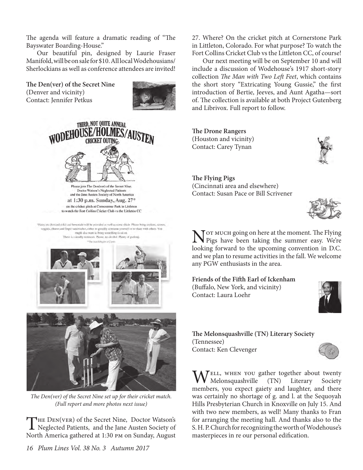The agenda will feature a dramatic reading of "The Bayswater Boarding-House."

Our beautiful pin, designed by Laurie Fraser Manifold, will be on sale for \$10. All local Wodehousians/ Sherlockians as well as conference attendees are invited!

**The Den(ver) of the Secret Nine** (Denver and vicinity) Contact: Jennifer Petkus





Please join The Den(ver) of the Secret Nine. Doctor Watson's Neglected Patients and the Jane Austen Society of North America at 1:30 p.m. Sunday, Aug. 27\* on the cricket pitch at Comerstone Park in Littleton

to watch the Fort Collins Cricket Club vs the Littleton CC

Water, tea (hot and cold) and lemoniale will be provided as well as some shade. Please bring cookies, scones, veggies, cheese and finger sandwickes, either to greedily consume yourself or to share with others. You might also want to bring something to sit on There is a nearby restroom. Please, no alcohol. Plenty of parking.





*The Den(ver) of the Secret Nine set up for their cricket match. (Full report and more photos next issue)*

THE DEN(VER) of the Secret Nine, Doctor Watson's<br>Neglected Patients, and the Jane Austen Society of North America gathered at 1:30 pm on Sunday, August

27. Where? On the cricket pitch at Cornerstone Park in Littleton, Colorado. For what purpose? To watch the Fort Collins Cricket Club vs the Littleton CC, of course!

Our next meeting will be on September 10 and will include a discussion of Wodehouse's 1917 short-story collection *The Man with Two Left Feet*, which contains the short story "Extricating Young Gussie," the first introduction of Bertie, Jeeves, and Aunt Agatha—sort of. The collection is available at both Project Gutenberg and Librivox. Full report to follow.

**The Drone Rangers** (Houston and vicinity) Contact: Carey Tynan



**The Flying Pigs** (Cincinnati area and elsewhere) Contact: Susan Pace or Bill Scrivener



Not much going on here at the moment. The Flying<br>Pigs have been taking the summer easy. We're looking forward to the upcoming convention in D.C. and we plan to resume activities in the fall. We welcome any PGW enthusiasts in the area.

**Friends of the Fifth Earl of Ickenham** (Buffalo, New York, and vicinity) Contact: Laura Loehr



**The Melonsquashville (TN) Literary Society** (Tennessee) Contact: Ken Clevenger



 $\bigvee$ ELL, WHEN YOU gather together about twenty<br>Melonsquashville (TN) Literary Society  $Melonsquashville$  (TN) members, you expect gaiety and laughter, and there was certainly no shortage of g. and l. at the Sequoyah Hills Presbyterian Church in Knoxville on July 15. And with two new members, as well! Many thanks to Fran for arranging the meeting hall. And thanks also to the S. H. P. Church for recognizing the worth of Wodehouse's masterpieces in re our personal edification.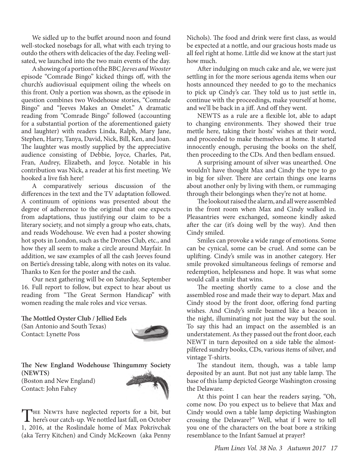We sidled up to the buffet around noon and found well-stocked nosebags for all, what with each trying to outdo the others with delicacies of the day. Feeling wellsated, we launched into the two main events of the day.

A showing of a portion of the BBC *Jeeves and Wooster* episode "Comrade Bingo" kicked things off, with the church's audiovisual equipment oiling the wheels on this front. Only a portion was shown, as the episode in question combines two Wodehouse stories, "Comrade Bingo" and "Jeeves Makes an Omelet." A dramatic reading from "Comrade Bingo" followed (accounting for a substantial portion of the aforementioned gaiety and laughter) with readers Linda, Ralph, Mary Jane, Stephen, Harry, Tanya, David, Nick, Bill, Ken, and Joan. The laughter was mostly supplied by the appreciative audience consisting of Debbie, Joyce, Charles, Pat, Fran, Audrey, Elizabeth, and Joyce. Notable in his contribution was Nick, a reader at his first meeting. We hooked a live fish here!

A comparatively serious discussion of the differences in the text and the TV adaptation followed. A continuum of opinions was presented about the degree of adherence to the original that one expects from adaptations, thus justifying our claim to be a literary society, and not simply a group who eats, chats, and reads Wodehouse. We even had a poster showing hot spots in London, such as the Drones Club, etc., and how they all seem to make a circle around Mayfair. In addition, we saw examples of all the cash Jeeves found on Bertie's dressing table, along with notes on its value. Thanks to Ken for the poster and the cash.

Our next gathering will be on Saturday, September 16. Full report to follow, but expect to hear about us reading from "The Great Sermon Handicap" with women reading the male roles and vice versas.

**The Mottled Oyster Club / Jellied Eels**

(San Antonio and South Texas) Contact: Lynette Poss



**The New England Wodehouse Thingummy Society (NEWTS)** (Boston and New England) Contact: John Fahey



Nichols). The food and drink were first class, as would be expected at a nottle, and our gracious hosts made us all feel right at home. Little did we know at the start just how much.

After indulging on much cake and ale, we were just settling in for the more serious agenda items when our hosts announced they needed to go to the mechanics to pick up Cindy's car. They told us to just settle in, continue with the proceedings, make yourself at home, and we'll be back in a jiff. And off they went.

NEWTS as a rule are a flexible lot, able to adapt to changing environments. They showed their true mettle here, taking their hosts' wishes at their word, and proceeded to make themselves at home. It started innocently enough, perusing the books on the shelf, then proceeding to the CDs. And then bedlam ensued.

A surprising amount of silver was unearthed. One wouldn't have thought Max and Cindy the type to go in big for silver. There are certain things one learns about another only by living with them, or rummaging through their belongings when they're not at home.

The lookout raised the alarm, and all were assembled in the front room when Max and Cindy walked in. Pleasantries were exchanged, someone kindly asked after the car (it's doing well by the way). And then Cindy smiled.

Smiles can provoke a wide range of emotions. Some can be cynical, some can be cruel. And some can be uplifting. Cindy's smile was in another category. Her smile provoked simultaneous feelings of remorse and redemption, helplessness and hope. It was what some would call a smile that wins.

The meeting shortly came to a close and the assembled rose and made their way to depart. Max and Cindy stood by the front door, offering fond parting wishes. And Cindy's smile beamed like a beacon in the night, illuminating not just the way but the soul. To say this had an impact on the assembled is an understatement. As they passed out the front door, each NEWT in turn deposited on a side table the almostpilfered sundry books, CDs, various items of silver, and vintage T-shirts.

The standout item, though, was a table lamp deposited by an aunt. But not just any table lamp. The base of this lamp depicted George Washington crossing the Delaware.

At this point I can hear the readers saying, "Oh, come now. Do you expect us to believe that Max and Cindy would own a table lamp depicting Washington crossing the Delaware?" Well, what if I were to tell you one of the characters on the boat bore a striking resemblance to the Infant Samuel at prayer?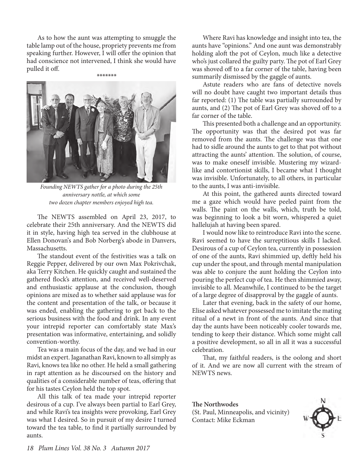As to how the aunt was attempting to smuggle the table lamp out of the house, propriety prevents me from speaking further. However, I will offer the opinion that had conscience not intervened, I think she would have pulled it off.



*Founding NEWTS gather for a photo during the 25th anniversary nottle, at which some two dozen chapter members enjoyed high tea.* 

The NEWTS assembled on April 23, 2017, to celebrate their 25th anniversary. And the NEWTS did it in style, having high tea served in the clubhouse at Ellen Donovan's and Bob Norberg's abode in Danvers, Massachusetts.

The standout event of the festivities was a talk on Reggie Pepper, delivered by our own Max Pokrivchak, aka Terry Kitchen. He quickly caught and sustained the gathered flock's attention, and received well-deserved and enthusiastic applause at the conclusion, though opinions are mixed as to whether said applause was for the content and presentation of the talk, or because it was ended, enabling the gathering to get back to the serious business with the food and drink. In any event your intrepid reporter can comfortably state Max's presentation was informative, entertaining, and solidly convention-worthy.

Tea was a main focus of the day, and we had in our midst an expert. Jaganathan Ravi, known to all simply as Ravi, knows tea like no other. He held a small gathering in rapt attention as he discoursed on the history and qualities of a considerable number of teas, offering that for his tastes Ceylon held the top spot.

All this talk of tea made your intrepid reporter desirous of a cup. I've always been partial to Earl Grey, and while Ravi's tea insights were provoking, Earl Grey was what I desired. So in pursuit of my desire I turned toward the tea table, to find it partially surrounded by aunts.

Where Ravi has knowledge and insight into tea, the aunts have "opinions." And one aunt was demonstrably holding aloft the pot of Ceylon, much like a detective who's just collared the guilty party. The pot of Earl Grey was shoved off to a far corner of the table, having been summarily dismissed by the gaggle of aunts.

Astute readers who are fans of detective novels will no doubt have caught two important details thus far reported: (1) The table was partially surrounded by aunts, and (2) The pot of Earl Grey was shoved off to a far corner of the table.

This presented both a challenge and an opportunity. The opportunity was that the desired pot was far removed from the aunts. The challenge was that one had to sidle around the aunts to get to that pot without attracting the aunts' attention. The solution, of course, was to make oneself invisible. Mustering my wizardlike and contortionist skills, I became what I thought was invisible. Unfortunately, to all others, in particular to the aunts, I was anti-invisible.

At this point, the gathered aunts directed toward me a gaze which would have peeled paint from the walls. The paint on the walls, which, truth be told, was beginning to look a bit worn, whispered a quiet hallelujah at having been spared.

I would now like to reintroduce Ravi into the scene. Ravi seemed to have the surreptitious skills I lacked. Desirous of a cup of Ceylon tea, currently in possession of one of the aunts, Ravi shimmied up, deftly held his cup under the spout, and through mental manipulation was able to conjure the aunt holding the Ceylon into pouring the perfect cup of tea. He then shimmied away, invisible to all. Meanwhile, I continued to be the target of a large degree of disapproval by the gaggle of aunts.

Later that evening, back in the safety of our home, Elise asked whatever possessed me to imitate the mating ritual of a newt in front of the aunts. And since that day the aunts have been noticeably cooler towards me, tending to keep their distance. Which some might call a positive development, so all in all it was a successful celebration.

That, my faithful readers, is the oolong and short of it. And we are now all current with the stream of NEWTS news.

**The Northwodes** (St. Paul, Minneapolis, and vicinity) Contact: Mike Eckman

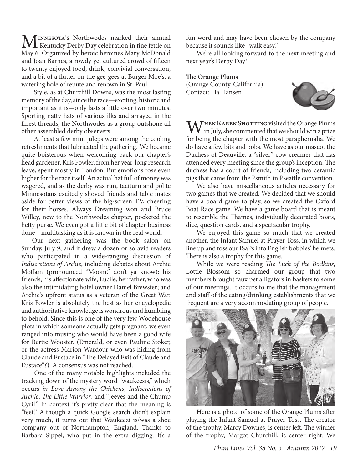MINNESOTA's Northwodes marked their annual<br>
Men Connected by Day celebration in fine fettle on<br>
Men Connected by Lucit begins a Men McDouble May 6. Organized by heroic heroines Mary McDonald and Joan Barnes, a rowdy yet cultured crowd of fifteen to twenty enjoyed food, drink, convivial conversation, and a bit of a flutter on the gee-gees at Burger Moe's, a watering hole of repute and renown in St. Paul.

 Style, as at Churchill Downs, was the most lasting memory of the day, since the race—exciting, historic and important as it is—only lasts a little over two minutes. Sporting natty hats of various ilks and arrayed in the finest threads, the Northwodes as a group outshone all other assembled derby observers.

 At least a few mint juleps were among the cooling refreshments that lubricated the gathering. We became quite boisterous when welcoming back our chapter's head gardener, Kris Fowler, from her year-long research leave, spent mostly in London. But emotions rose even higher for the race itself. An actual hat full of money was wagered, and as the derby was run, taciturn and polite Minnesotans excitedly shoved friends and table mates aside for better views of the big-screen TV, cheering for their horses. Always Dreaming won and Bruce Willey, new to the Northwodes chapter, pocketed the hefty purse. We even got a little bit of chapter business done—multitasking as it is known in the real world.

Our next gathering was the book salon on Sunday, July 9, and it drew a dozen or so avid readers who participated in a wide-ranging discussion of *Indiscretions of Archie*, including debates about Archie Moffam (pronounced "Moom," don't ya know); his friends; his affectionate wife, Lucile; her father, who was also the intimidating hotel owner Daniel Brewster; and Archie's upfront status as a veteran of the Great War. Kris Fowler is absolutely the best as her encyclopedic and authoritative knowledge is wondrous and humbling to behold. Since this is one of the very few Wodehouse plots in which someone actually gets pregnant, we even ranged into musing who would have been a good wife for Bertie Wooster. (Emerald, or even Pauline Stoker, or the actress Marion Wardour who was hiding from Claude and Eustace in "The Delayed Exit of Claude and Eustace"?). A consensus was not reached.

 One of the many notable highlights included the tracking down of the mystery word "waukeesis," which occurs *in Love Among the Chickens, Indiscretions of Archie*, *The Little Warrior*, and "Jeeves and the Chump Cyril." In context it's pretty clear that the meaning is "feet." Although a quick Google search didn't explain very much, it turns out that Waukeezi is/was a shoe company out of Northampton, England. Thanks to Barbara Sippel, who put in the extra digging. It's a

fun word and may have been chosen by the company because it sounds like "walk easy."

We're all looking forward to the next meeting and next year's Derby Day!

**The Orange Plums** (Orange County, California) Contact: Lia Hansen



**M** THEN KAREN SHOTTING visited the Orange Plums in July, she commented that we should win a prize for being the chapter with the most paraphernalia. We do have a few bits and bobs. We have as our mascot the Duchess of Deauville, a "silver" cow creamer that has attended every meeting since the group's inception. The duchess has a court of friends, including two ceramic pigs that came from the Psmith in Pseattle convention.

We also have miscellaneous articles necessary for two games that we created. We decided that we should have a board game to play, so we created the Oxford Boat Race game. We have a game board that is meant to resemble the Thames, individually decorated boats, dice, question cards, and a spectacular trophy.

We enjoyed this game so much that we created another, the Infant Samuel at Prayer Toss, in which we line up and toss our ISaPs into English bobbies' helmets. There is also a trophy for this game.

While we were reading *The Luck of the Bodkins*, Lottie Blossom so charmed our group that two members brought faux pet alligators in baskets to some of our meetings. It occurs to me that the management and staff of the eating/drinking establishments that we frequent are a very accommodating group of people.



Here is a photo of some of the Orange Plums after playing the Infant Samuel at Prayer Toss. The creator of the trophy, Marcy Downes, is center left. The winner of the trophy, Margot Churchill, is center right. We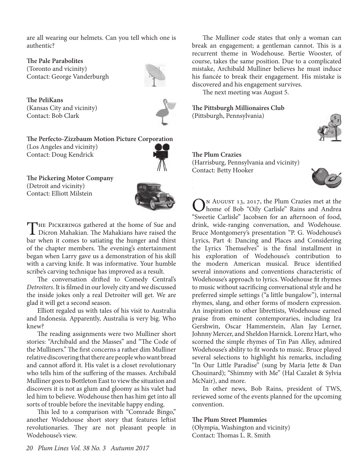are all wearing our helmets. Can you tell which one is authentic?

**The Pale Parabolites** (Toronto and vicinity) Contact: George Vanderburgh



**The PeliKans** (Kansas City and vicinity) Contact: Bob Clark



**The Perfecto-Zizzbaum Motion Picture Corporation** (Los Angeles and vicinity) Contact: Doug Kendrick



**The Pickering Motor Company** (Detroit and vicinity) Contact: Elliott Milstein



THE PICKERINGS gathered at the home of Sue and<br>Dicron Mahakian. The Mahakians have raised the bar when it comes to satiating the hunger and thirst of the chapter members. The evening's entertainment began when Larry gave us a demonstration of his skill with a carving knife. It was informative. Your humble scribe's carving technique has improved as a result.

The conversation drifted to Comedy Central's *Detroiters*. It is filmed in our lovely city and we discussed the inside jokes only a real Detroiter will get. We are glad it will get a second season.

Elliott regaled us with tales of his visit to Australia and Indonesia. Apparently, Australia is very big. Who knew?

The reading assignments were two Mulliner short stories: "Archibald and the Masses" and "The Code of the Mulliners." The first concerns a rather dim Mulliner relative discovering that there are people who want bread and cannot afford it. His valet is a closet revolutionary who tells him of the suffering of the masses. Archibald Mulliner goes to Bottleton East to view the situation and discovers it is not as glum and gloomy as his valet had led him to believe. Wodehouse then has him get into all sorts of trouble before the inevitable happy ending.

This led to a comparison with "Comrade Bingo," another Wodehouse short story that features leftist revolutionaries. They are not pleasant people in Wodehouse's view.

The Mulliner code states that only a woman can break an engagement; a gentleman cannot. This is a recurrent theme in Wodehouse. Bertie Wooster, of course, takes the same position. Due to a complicated mistake, Archibald Mulliner believes he must induce his fiancée to break their engagement. His mistake is discovered and his engagement survives.

The next meeting was August 5.

**The Pittsburgh Millionaires Club** (Pittsburgh, Pennsylvania)



#### **The Plum Crazies** (Harrisburg, Pennsylvania and vicinity) Contact: Betty Hooker



ON AUGUST 13, 2017, the Plum Crazies met at the<br>home of Bob "Oily Carlisle" Rains and Andrea "Sweetie Carlisle" Jacobsen for an afternoon of food, drink, wide-ranging conversation, and Wodehouse. Bruce Montgomery's presentation "P. G. Wodehouse's Lyrics, Part 4: Dancing and Places and Considering the Lyrics Themselves" is the final installment in his exploration of Wodehouse's contribution to the modern American musical. Bruce identified several innovations and conventions characteristic of Wodehouse's approach to lyrics. Wodehouse fit rhymes to music without sacrificing conversational style and he preferred simple settings ("a little bungalow"), internal rhymes, slang, and other forms of modern expression. An inspiration to other librettists, Wodehouse earned praise from eminent contemporaries, including Ira Gershwin, Oscar Hammerstein, Alan Jay Lerner, Johnny Mercer, and Sheldon Harnick. Lorenz Hart, who scorned the simple rhymes of Tin Pan Alley, admired Wodehouse's ability to fit words to music. Bruce played several selections to highlight his remarks, including "In Our Little Paradise" (sung by Maria Jette & Dan Chouinard); "Shimmy with Me" (Hal Cazalet & Sylvia McNair), and more.

In other news, Bob Rains, president of TWS, reviewed some of the events planned for the upcoming convention.

#### **The Plum Street Plummies**

(Olympia, Washington and vicinity) Contact: Thomas L. R. Smith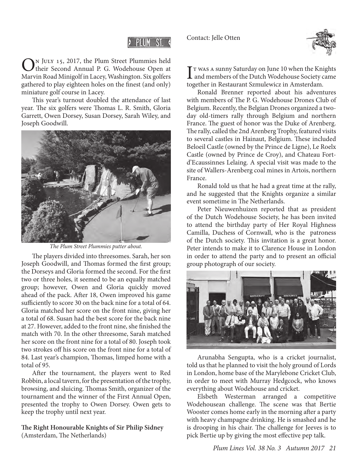Contact: Jelle Otten



#### PLUM ST

On July 15, 2017, the Plum Street Plummies held their Second Annual P. G. Wodehouse Open at Marvin Road Minigolf in Lacey, Washington. Six golfers gathered to play eighteen holes on the finest (and only) miniature golf course in Lacey.

This year's turnout doubled the attendance of last year. The six golfers were Thomas L. R. Smith, Gloria Garrett, Owen Dorsey, Susan Dorsey, Sarah Wiley, and Joseph Goodwill.



*The Plum Street Plummies putter about.*

The players divided into threesomes. Sarah, her son Joseph Goodwill, and Thomas formed the first group; the Dorseys and Gloria formed the second. For the first two or three holes, it seemed to be an equally matched group; however, Owen and Gloria quickly moved ahead of the pack. After 18, Owen improved his game sufficiently to score 30 on the back nine for a total of 64. Gloria matched her score on the front nine, giving her a total of 68. Susan had the best score for the back nine at 27. However, added to the front nine, she finished the match with 70. In the other threesome, Sarah matched her score on the front nine for a total of 80. Joseph took two strokes off his score on the front nine for a total of 84. Last year's champion, Thomas, limped home with a total of 95.

After the tournament, the players went to Red Robbin, a local tavern, for the presentation of the trophy, browsing, and sluicing. Thomas Smith, organizer of the tournament and the winner of the First Annual Open, presented the trophy to Owen Dorsey. Owen gets to keep the trophy until next year.

**The Right Honourable Knights of Sir Philip Sidney** (Amsterdam, The Netherlands)

I T WAS A sunny Saturday on June 10 when the Knights<br>and members of the Dutch Wodehouse Society came  $\mathbf{T}$  T was a sunny Saturday on June 10 when the Knights together in Restaurant Szmulewicz in Amsterdam.

Ronald Brenner reported about his adventures with members of The P. G. Wodehouse Drones Club of Belgium. Recently, the Belgian Drones organized a twoday old-timers rally through Belgium and northern France. The guest of honor was the Duke of Arenberg. The rally, called the 2nd Arenberg Trophy, featured visits to several castles in Hainaut, Belgium. These included Beloeil Castle (owned by the Prince de Ligne), Le Roelx Castle (owned by Prince de Croy), and Chateau Fortd'Ecaussinnes Lelaing. A special visit was made to the site of Wallers-Arenberg coal mines in Artois, northern France.

Ronald told us that he had a great time at the rally, and he suggested that the Knights organize a similar event sometime in The Netherlands.

Peter Nieuwenhuizen reported that as president of the Dutch Wodehouse Society, he has been invited to attend the birthday party of Her Royal Highness Camilla, Duchess of Cornwall, who is the patroness of the Dutch society. This invitation is a great honor. Peter intends to make it to Clarence House in London in order to attend the party and to present an official group photograph of our society.



Arunabha Sengupta, who is a cricket journalist, told us that he planned to visit the holy ground of Lords in London, home base of the Marylebone Cricket Club, in order to meet with Murray Hedgcock, who knows everything about Wodehouse and cricket.

Elsbeth Westerman arranged a competitive Wodehousean challenge. The scene was that Bertie Wooster comes home early in the morning after a party with heavy champagne drinking. He is smashed and he is drooping in his chair. The challenge for Jeeves is to pick Bertie up by giving the most effective pep talk.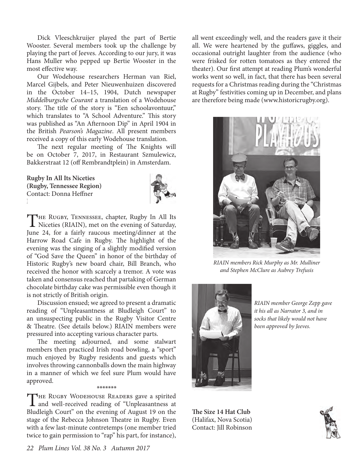Dick Vleeschkruijer played the part of Bertie Wooster. Several members took up the challenge by playing the part of Jeeves. According to our jury, it was Hans Muller who pepped up Bertie Wooster in the most effective way.

Our Wodehouse researchers Herman van Riel, Marcel Gijbels, and Peter Nieuwenhuizen discovered in the October 14–15, 1904, Dutch newspaper *Middelburgsche Courant* a translation of a Wodehouse story. The title of the story is "Een schoolavontuur," which translates to "A School Adventure." This story was published as "An Afternoon Dip" in April 1904 in the British *Pearson's Magazine*. All present members received a copy of this early Wodehouse translation.

The next regular meeting of The Knights will be on October 7, 2017, in Restaurant Szmulewicz, Bakkerstraat 12 (off Rembrandtplein) in Amsterdam.

**Rugby In All Its Niceties (Rugby, Tennessee Region)** Contact: Donna Heffner Email: redhill1@highland.net



THE RUGBY, TENNESSEE, chapter, Rugby In All Its<br>Niceties (RIAIN), met on the evening of Saturday, June 24, for a fairly raucous meeting/dinner at the Harrow Road Cafe in Rugby. The highlight of the evening was the singing of a slightly modified version of "God Save the Queen" in honor of the birthday of Historic Rugby's new board chair, Bill Branch, who received the honor with scarcely a tremor. A vote was taken and consensus reached that partaking of German chocolate birthday cake was permissible even though it is not strictly of British origin.

Discussion ensued; we agreed to present a dramatic reading of "Unpleasantness at Bludleigh Court" to an unsuspecting public in the Rugby Visitor Centre & Theatre. (See details below.) RIAIN members were pressured into accepting various character parts.

The meeting adjourned, and some stalwart members then practiced Irish road bowling, a "sport" much enjoyed by Rugby residents and guests which involves throwing cannonballs down the main highway in a manner of which we feel sure Plum would have approved.

#### \*\*\*\*\*\*\*

THE RUGBY WODEHOUSE READERS gave a spirited<br>and well-received reading of "Unpleasantness at Bludleigh Court" on the evening of August 19 on the stage of the Rebecca Johnson Theatre in Rugby. Even with a few last-minute contretemps (one member tried twice to gain permission to "rap" his part, for instance),

all went exceedingly well, and the readers gave it their all. We were heartened by the guffaws, giggles, and occasional outright laughter from the audience (who were frisked for rotten tomatoes as they entered the theater). Our first attempt at reading Plum's wonderful works went so well, in fact, that there has been several requests for a Christmas reading during the "Christmas at Rugby" festivities coming up in December, and plans are therefore being made (www.historicrugby.org).



*RIAIN members Rick Murphy as Mr. Mulliner and Stephen McClure as Aubrey Trefusis*



*RIAIN member George Zepp gave it his all as Narrator 3, and in socks that likely would not have been approved by Jeeves.*

**The Size 14 Hat Club** (Halifax, Nova Scotia) Contact: Jill Robinson

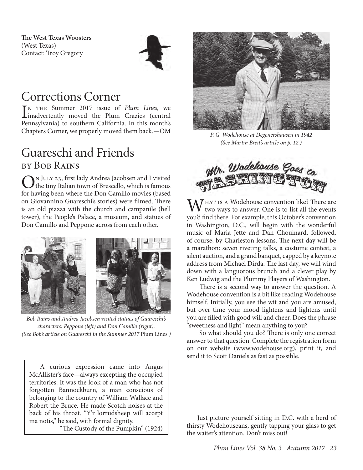**The West Texas Woosters** (West Texas) Contact: Troy Gregory



## Corrections Corner

IN THE Summer 2017 issue of *Plum Lines*, we<br>linadvertently moved the Plum Crazies (central<br>Demonstration of the central problem in this month: n the Summer 2017 issue of *Plum Lines*, we Pennsylvania) to southern California. In this month's Chapters Corner, we properly moved them back.—OM

### Guareschi and Friends by Bob Rains

ON JULY 23, first lady Andrea Jacobsen and I visited<br>the tiny Italian town of Brescello, which is famous<br>for having have the Dan Gunilla marity (have for having been where the Don Camillo movies (based on Giovannino Guareschi's stories) were filmed. There is an old piazza with the church and campanile (bell tower), the People's Palace, a museum, and statues of Don Camillo and Peppone across from each other.



*Bob Rains and Andrea Jacobsen visited statues of Guareschi's characters: Peppone (left) and Don Camillo (right). (See Bob's article on Guareschi in the Summer 2017* Plum Lines*.)*

A curious expression came into Angus McAllister's face—always excepting the occupied territories. It was the look of a man who has not forgotten Bannockburn, a man conscious of belonging to the country of William Wallace and Robert the Bruce. He made Scotch noises at the back of his throat. "Y'r lorrudsheep will accept ma notis," he said, with formal dignity.

"The Custody of the Pumpkin" (1924)



*P. G. Wodehouse at Degenershausen in 1942 (See Martin Breit's article on p. 12.)*



 $W_{\text{true}}$  is a Wodehouse convention like? There are two ways to answer. One is to list all the events you'd find there. For example, this October's convention in Washington, D.C., will begin with the wonderful music of Maria Jette and Dan Chouinard, followed, of course, by Charleston lessons. The next day will be a marathon: seven riveting talks, a costume contest, a silent auction, and a grand banquet, capped by a keynote address from Michael Dirda. The last day, we will wind down with a languorous brunch and a clever play by Ken Ludwig and the Plummy Players of Washington.

 There is a second way to answer the question. A Wodehouse convention is a bit like reading Wodehouse himself. Initially, you see the wit and you are amused, but over time your mood lightens and lightens until you are filled with good will and cheer. Does the phrase "sweetness and light" mean anything to you?

 So what should you do? There is only one correct answer to that question. Complete the registration form on our website (www.wodehouse.org), print it, and send it to Scott Daniels as fast as possible.

Just picture yourself sitting in D.C. with a herd of thirsty Wodehouseans, gently tapping your glass to get the waiter's attention. Don't miss out!